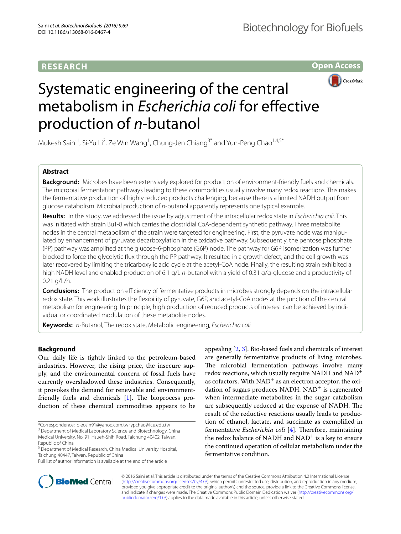# **RESEARCH**

**Open Access**



# Systematic engineering of the central metabolism in *Escherichia coli* for effective production of *n‑*butanol

Mukesh Saini<sup>1</sup>, Si-Yu Li<sup>2</sup>, Ze Win Wang<sup>1</sup>, Chung-Jen Chiang<sup>3\*</sup> and Yun-Peng Chao<sup>1,4,5\*</sup>

# **Abstract**

**Background:** Microbes have been extensively explored for production of environment-friendly fuels and chemicals. The microbial fermentation pathways leading to these commodities usually involve many redox reactions. This makes the fermentative production of highly reduced products challenging, because there is a limited NADH output from glucose catabolism. Microbial production of *n-*butanol apparently represents one typical example.

**Results:** In this study, we addressed the issue by adjustment of the intracellular redox state in *Escherichia coli*. This was initiated with strain BuT-8 which carries the clostridial CoA-dependent synthetic pathway. Three metabolite nodes in the central metabolism of the strain were targeted for engineering. First, the pyruvate node was manipulated by enhancement of pyruvate decarboxylation in the oxidative pathway. Subsequently, the pentose phosphate (PP) pathway was amplified at the glucose-6-phosphate (G6P) node. The pathway for G6P isomerization was further blocked to force the glycolytic flux through the PP pathway. It resulted in a growth defect, and the cell growth was later recovered by limiting the tricarboxylic acid cycle at the acetyl-CoA node. Finally, the resulting strain exhibited a high NADH level and enabled production of 6.1 g/L *n-*butanol with a yield of 0.31 g/g-glucose and a productivity of 0.21 g/L/h.

**Conclusions:** The production efficiency of fermentative products in microbes strongly depends on the intracellular redox state. This work illustrates the flexibility of pyruvate, G6P, and acetyl-CoA nodes at the junction of the central metabolism for engineering. In principle, high production of reduced products of interest can be achieved by individual or coordinated modulation of these metabolite nodes.

**Keywords:** *n-*Butanol, The redox state, Metabolic engineering, *Escherichia coli*

# **Background**

Our daily life is tightly linked to the petroleum-based industries. However, the rising price, the insecure supply, and the environmental concern of fossil fuels have currently overshadowed these industries. Consequently, it provokes the demand for renewable and environmentfriendly fuels and chemicals [[1](#page-8-0)]. The bioprocess production of these chemical commodities appears to be

<sup>3</sup> Department of Medical Laboratory Science and Biotechnology, China Medical University, No. 91, Hsueh‑Shih Road, Taichung 40402, Taiwan, Republic of China

appealing [[2,](#page-8-1) [3](#page-8-2)]. Bio-based fuels and chemicals of interest are generally fermentative products of living microbes. The microbial fermentation pathways involve many redox reactions, which usually require NADH and  $NAD^+$ as cofactors. With  $NAD^+$  as an electron acceptor, the oxidation of sugars produces NADH. NAD<sup>+</sup> is regenerated when intermediate metabolites in the sugar catabolism are subsequently reduced at the expense of NADH. The result of the reductive reactions usually leads to production of ethanol, lactate, and succinate as exemplified in fermentative *Escherichia coli* [\[4](#page-8-3)]. Therefore, maintaining the redox balance of NADH and NAD<sup>+</sup> is a key to ensure the continued operation of cellular metabolism under the fermentative condition.



© 2016 Saini et al. This article is distributed under the terms of the Creative Commons Attribution 4.0 International License [\(http://creativecommons.org/licenses/by/4.0/\)](http://creativecommons.org/licenses/by/4.0/), which permits unrestricted use, distribution, and reproduction in any medium, provided you give appropriate credit to the original author(s) and the source, provide a link to the Creative Commons license, and indicate if changes were made. The Creative Commons Public Domain Dedication waiver ([http://creativecommons.org/](http://creativecommons.org/publicdomain/zero/1.0/) [publicdomain/zero/1.0/](http://creativecommons.org/publicdomain/zero/1.0/)) applies to the data made available in this article, unless otherwise stated.

<sup>\*</sup>Correspondence: oleosin91@yahoo.com.tw; ypchao@fcu.edu.tw

<sup>&</sup>lt;sup>5</sup> Department of Medical Research, China Medical University Hospital, Taichung 40447, Taiwan, Republic of China

Full list of author information is available at the end of the article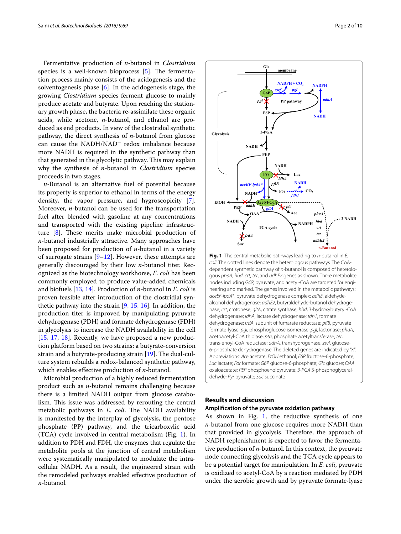Fermentative production of *n-*butanol in *Clostridium* species is a well-known bioprocess [[5\]](#page-8-4). The fermentation process mainly consists of the acidogenesis and the solventogenesis phase [[6\]](#page-8-5). In the acidogenesis stage, the growing *Clostridium* species ferment glucose to mainly produce acetate and butyrate. Upon reaching the stationary growth phase, the bacteria re-assimilate these organic acids, while acetone, *n*-butanol, and ethanol are produced as end products. In view of the clostridial synthetic pathway, the direct synthesis of *n*-butanol from glucose can cause the NADH/NAD<sup>+</sup> redox imbalance because more NADH is required in the synthetic pathway than that generated in the glycolytic pathway. This may explain why the synthesis of *n*-butanol in *Clostridium* species proceeds in two stages.

*n*-Butanol is an alternative fuel of potential because its property is superior to ethanol in terms of the energy density, the vapor pressure, and hygroscopicity [\[7](#page-8-6)]. Moreover, *n*-butanol can be used for the transportation fuel after blended with gasoline at any concentrations and transported with the existing pipeline infrastructure [\[8\]](#page-8-7). These merits make microbial production of *n*-butanol industrially attractive. Many approaches have been proposed for production of *n*-butanol in a variety of surrogate strains  $[9-12]$  $[9-12]$ . However, these attempts are generally discouraged by their low *n*-butanol titer. Recognized as the biotechnology workhorse, *E. coli* has been commonly employed to produce value-added chemicals and biofuels [\[13,](#page-8-10) [14\]](#page-8-11). Production of *n*-butanol in *E. coli* is proven feasible after introduction of the clostridial synthetic pathway into the strain [[9,](#page-8-8) [15,](#page-8-12) [16\]](#page-8-13). In addition, the production titer is improved by manipulating pyruvate dehydrogenase (PDH) and formate dehydrogenase (FDH) in glycolysis to increase the NADH availability in the cell [[15,](#page-8-12) [17](#page-8-14), [18\]](#page-8-15). Recently, we have proposed a new production platform based on two strains: a butyrate-conversion strain and a butyrate-producing strain [[19\]](#page-8-16). The dual-culture system rebuilds a redox-balanced synthetic pathway, which enables effective production of *n-*butanol.

Microbial production of a highly reduced fermentation product such as *n-*butanol remains challenging because there is a limited NADH output from glucose catabolism. This issue was addressed by rerouting the central metabolic pathways in *E. coli*. The NADH availability is manifested by the interplay of glycolysis, the pentose phosphate (PP) pathway, and the tricarboxylic acid (TCA) cycle involved in central metabolism (Fig. [1\)](#page-1-0). In addition to PDH and FDH, the enzymes that regulate the metabolite pools at the junction of central metabolism were systematically manipulated to modulate the intracellular NADH. As a result, the engineered strain with the remodeled pathways enabled effective production of *n-*butanol.



<span id="page-1-0"></span>**Fig. 1** The central metabolic pathways leading to *n-*butanol in *E. coli*. The dotted lines denote the heterologous pathways. The CoAdependent synthetic pathway of *n*-butanol is composed of heterologous *phaA*, *hbd*, *crt*, *ter*, and *adhE2* genes as shown. Three metabolite nodes including G6P, pyruvate, and acetyl-CoA are targeted for engineering and marked. The genes involved in the metabolic pathways: *aceEF*-*lpdA*\*, pyruvate dehydrogenase complex; *adhE*, aldehydealcohol dehydrogenase; adhE2, butyraldehyde-butanol dehydrogenase; *crt*, crotonese; *gltA*, citrate synthase; *hbd*, 3-hydroxybutyryl-CoA dehydrogenase; *ldhA*, lactate dehydrogenase; *fdh1*, formate dehydrogenase; *frdA*, subunit of fumarate reductase; *pflB*, pyruvate formate-lyase; *pgi*, phosphoglucose isomerase; *pgl*, lactonase; *phaA*, acetoacetyl-CoA thiolase; *pta*, phosphate acetyltransferase; *ter*, trans-enoyl-CoA reductase; *udhA*, transhydrogenase; *zwf*, glucose-6-phosphate dehydrogenase. The deleted genes are indicated by "X". Abbreviations: *Ace* acetate; *EtOH* ethanol; *F6P* fructose-6-phosphate; *Lac* lactate; *For* formate; *G6P* glucose-6-phosphate; *Glc* glucose; *OAA* oxaloacetate; *PEP* phosphoenolpyruvate; *3-PGA* 3-phosphoglyceral‑ dehyde; *Pyr* pyruvate; *Suc* succinate

# **Results and discussion**

## **Amplification of the pyruvate oxidation pathway**

As shown in Fig. [1](#page-1-0), the reductive synthesis of one *n-*butanol from one glucose requires more NADH than that provided in glycolysis. Therefore, the approach of NADH replenishment is expected to favor the fermentative production of *n-*butanol. In this context, the pyruvate node connecting glycolysis and the TCA cycle appears to be a potential target for manipulation. In *E. coli*, pyruvate is oxidized to acetyl-CoA by a reaction mediated by PDH under the aerobic growth and by pyruvate formate-lyase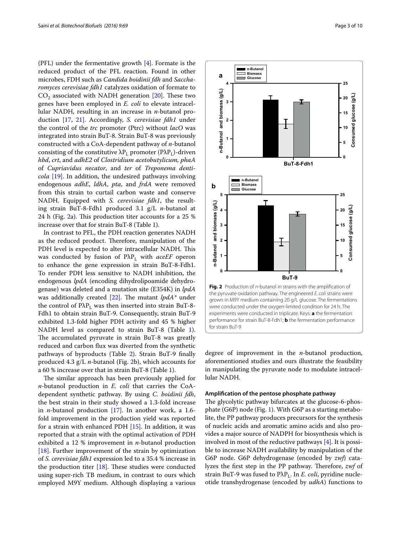(PFL) under the fermentative growth  $[4]$  $[4]$ . Formate is the reduced product of the PFL reaction. Found in other microbes, FDH such as *Candida boidinii fdh* and *Saccharomyces cerevisiae fdh1* catalyzes oxidation of formate to  $CO<sub>2</sub>$  associated with NADH generation [\[20\]](#page-8-17). These two genes have been employed in *E. coli* to elevate intracellular NADH, resulting in an increase in *n-*butanol production [\[17,](#page-8-14) [21](#page-9-0)]. Accordingly, *S. cerevisiae fdh1* under the control of the *trc* promoter (Ptrc) without *lacO* was integrated into strain BuT-8. Strain BuT-8 was previously constructed with a CoA-dependent pathway of *n-*butanol consisting of the constitutive  $\lambda P_{I}$  promoter ( $P\lambda P_{I}$ )-driven *hbd*, *crt*, and *adhE2* of *Clostridium acetobutylicum, phaA* of *Cupriavidus necator*, and *ter* of *Treponema denticola* [\[19\]](#page-8-16). In addition, the undesired pathways involving endogenous *adhE*, *ldhA*, *pta*, and *frdA* were removed from this strain to curtail carbon waste and conserve NADH. Equipped with *S. cerevisiae fdh1*, the resulting strain BuT-8-Fdh1 produced 3.1 g/L *n-*butanol at 24 h (Fig. [2a](#page-2-0)). This production titer accounts for a 25 % increase over that for strain BuT-8 (Table [1\)](#page-3-0).

In contrast to PFL, the PDH reaction generates NADH as the reduced product. Therefore, manipulation of the PDH level is expected to alter intracellular NADH. This was conducted by fusion of PλP<sub>L</sub> with *aceEF* operon to enhance the gene expression in strain BuT-8-Fdh1. To render PDH less sensitive to NADH inhibition, the endogenous *lpdA* (encoding dihydrolipoamide dehydrogenase) was deleted and a mutation site (E354K) in *lpdA* was additionally created [[22\]](#page-9-1). The mutant *lpdA\** under the control of  $P\lambda P_1$  was then inserted into strain BuT-8-Fdh1 to obtain strain BuT-9. Consequently, strain BuT-9 exhibited 1.3-fold higher PDH activity and 45 % higher NADH level as compared to strain BuT-8 (Table [1](#page-3-0)). The accumulated pyruvate in strain BuT-8 was greatly reduced and carbon flux was diverted from the synthetic pathways of byproducts (Table [2](#page-3-1)). Strain BuT-9 finally produced 4.3 g/L *n-*butanol (Fig. [2b](#page-2-0)), which accounts for a 60 % increase over that in strain BuT-8 (Table [1\)](#page-3-0).

The similar approach has been previously applied for *n-*butanol production in *E. coli* that carries the CoAdependent synthetic pathway. By using *C. boidinii fdh*, the best strain in their study showed a 1.3-fold increase in *n-*butanol production [[17\]](#page-8-14). In another work, a 1.6 fold improvement in the production yield was reported for a strain with enhanced PDH [\[15](#page-8-12)]. In addition, it was reported that a strain with the optimal activation of PDH exhibited a 12 % improvement in *n-*butanol production [[18\]](#page-8-15). Further improvement of the strain by optimization of *S. cerevisiae fdh1* expression led to a 35.4 % increase in the production titer  $[18]$  $[18]$ . These studies were conducted using super-rich TB medium, in contrast to ours which employed M9Y medium. Although displaying a various



<span id="page-2-0"></span>degree of improvement in the *n-*butanol production, aforementioned studies and ours illustrate the feasibility in manipulating the pyruvate node to modulate intracellular NADH.

#### **Amplification of the pentose phosphate pathway**

The glycolytic pathway bifurcates at the glucose-6-phosphate (G6P) node (Fig. [1](#page-1-0)). With G6P as a starting metabolite, the PP pathway produces precursors for the synthesis of nucleic acids and aromatic amino acids and also provides a major source of NADPH for biosynthesis which is involved in most of the reductive pathways [\[4](#page-8-3)]. It is possible to increase NADH availability by manipulation of the G6P node. G6P dehydrogenase (encoded by *zwf*) catalyzes the first step in the PP pathway. Therefore, *zwf* of strain BuT-9 was fused to PλP<sub>L</sub>. In *E. coli*, pyridine nucle-<br>otide transhydrogenase (encoded by *udhA*) functions to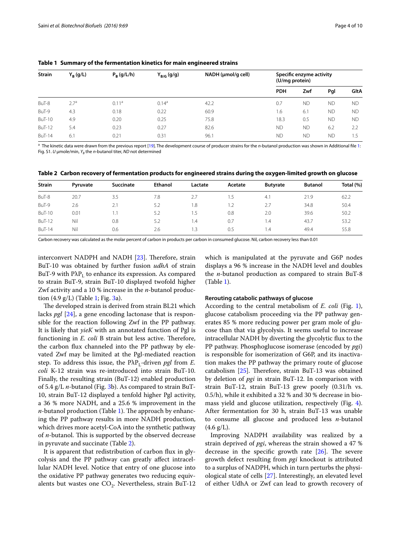| <b>Strain</b> | $Y_R(g/L)$       | $P_R$ (g/L/h)     | $Y_{B/G}$ (g/g) | NADH (µmol/g cell) | Specific enzyme activity<br>(U/mg protein) |           |           |           |
|---------------|------------------|-------------------|-----------------|--------------------|--------------------------------------------|-----------|-----------|-----------|
|               |                  |                   |                 |                    | <b>PDH</b>                                 | Zwf       | Pgl       | GltA      |
| BuT-8         | 2.7 <sup>a</sup> | 0.11 <sup>a</sup> | $0.14^{\circ}$  | 42.2               | 0.7                                        | <b>ND</b> | <b>ND</b> | <b>ND</b> |
| BuT-9         | 4.3              | 0.18              | 0.22            | 60.9               | 1.6                                        | 6.1       | <b>ND</b> | <b>ND</b> |
| <b>BuT-10</b> | 4.9              | 0.20              | 0.25            | 75.8               | 18.3                                       | 0.5       | <b>ND</b> | <b>ND</b> |
| <b>BuT-12</b> | 5.4              | 0.23              | 0.27            | 82.6               | <b>ND</b>                                  | <b>ND</b> | 6.2       | 2.2       |
| <b>BuT-14</b> | 6.1              | 0.21              | 0.31            | 96.1               | <b>ND</b>                                  | <b>ND</b> | <b>ND</b> | . .5      |

<span id="page-3-0"></span>**Table 1 Summary of the fermentation kinetics for main engineered strains**

<sup>a</sup> The kinetic data were drawn from the previous report [[19](#page-8-16)]. The development course of producer strains for the *n*-butanol production was shown in Additional file [1:](#page-8-18) Fig. S1. *U* µmole/min,  $Y_B$  the *n*-butanol titer, *ND* not determined

<span id="page-3-1"></span>**Table 2 Carbon recovery of fermentation products for engineered strains during the oxygen-limited growth on glucose**

| <b>Strain</b> | Pyruvate | Succinate | <b>Ethanol</b> | Lactate         | Acetate | <b>Butyrate</b> | <b>Butanol</b> | Total (%) |
|---------------|----------|-----------|----------------|-----------------|---------|-----------------|----------------|-----------|
| BuT-8         | 20.7     | 3.5       | 7.8            | 2.7             | 1.5     | 4.1             | 21.9           | 62.2      |
| BuT-9         | 2.6      | 2.1       | 5.2            | i .8            | 1.2     | 2.7             | 34.8           | 50.4      |
| <b>BuT-10</b> | 0.01     |           | 5.2            | .5              | 0.8     | 2.0             | 39.6           | 50.2      |
| <b>BuT-12</b> | Nil      | 0.8       | 5.2            | $\overline{.4}$ | 0.7     | 4.،             | 43.7           | 53.2      |
| <b>BuT-14</b> | Nil      | 0.6       | 2.6            | $\cdot$ 3       | 0.5     | ، 4             | 49.4           | 55.8      |

Carbon recovery was calculated as the molar percent of carbon in products per carbon in consumed glucose. Nil, carbon recovery less than 0.01

interconvert NADPH and NADH [\[23\]](#page-9-2). Therefore, strain BuT-10 was obtained by further fusion *udhA* of strain BuT-9 with  $PλP<sub>L</sub>$  to enhance its expression. As compared to strain BuT-9, strain BuT-10 displayed twofold higher Zwf activity and a 10 % increase in the *n-*butanol production (4.9 g/L) (Table [1](#page-3-0); Fig. [3a](#page-4-0)).

The developed strain is derived from strain BL21 which lacks *pgl* [[24\]](#page-9-3), a gene encoding lactonase that is responsible for the reaction following Zwf in the PP pathway. It is likely that *yieK* with an annotated function of Pgl is functioning in *E. coli* B strain but less active. Therefore, the carbon flux channeled into the PP pathway by elevated Zwf may be limited at the Pgl-mediated reaction step. To address this issue, the PλPL-driven *pgl* from *E. coli* K-12 strain was re-introduced into strain BuT-10. Finally, the resulting strain (BuT-12) enabled production of 5.4 g/L *n-*butanol (Fig. [3b](#page-4-0)). As compared to strain BuT-10, strain BuT-12 displayed a tenfold higher Pgl activity, a 36 % more NADH, and a 25.6 % improvement in the *n-*butanol production (Table [1\)](#page-3-0). The approach by enhancing the PP pathway results in more NADH production, which drives more acetyl-CoA into the synthetic pathway of *n-*butanol. This is supported by the observed decrease in pyruvate and succinate (Table [2\)](#page-3-1).

It is apparent that redistribution of carbon flux in glycolysis and the PP pathway can greatly affect intracellular NADH level. Notice that entry of one glucose into the oxidative PP pathway generates two reducing equivalents but wastes one  $CO_2$ . Nevertheless, strain BuT-12 which is manipulated at the pyruvate and G6P nodes displays a 96 % increase in the NADH level and doubles the *n-*butanol production as compared to strain BuT-8 (Table [1\)](#page-3-0).

#### **Rerouting catabolic pathways of glucose**

According to the central metabolism of *E. coli* (Fig. [1](#page-1-0)), glucose catabolism proceeding via the PP pathway generates 85 % more reducing power per gram mole of glucose than that via glycolysis. It seems useful to increase intracellular NADH by diverting the glycolytic flux to the PP pathway. Phosphoglucose isomerase (encoded by *pgi*) is responsible for isomerization of G6P, and its inactivation makes the PP pathway the primary route of glucose catabolism [\[25](#page-9-4)]. Therefore, strain BuT-13 was obtained by deletion of *pgi* in strain BuT-12. In comparison with strain BuT-12, strain BuT-13 grew poorly (0.31/h vs. 0.5/h), while it exhibited a 32 % and 30 % decrease in biomass yield and glucose utilization, respectively (Fig. [4](#page-4-1)). After fermentation for 30 h, strain BuT-13 was unable to consume all glucose and produced less *n-*butanol  $(4.6 \text{ g/L}).$ 

Improving NADPH availability was realized by a strain deprived of *pgi*, whereas the strain showed a 47 % decrease in the specific growth rate  $[26]$  $[26]$ . The severe growth defect resulting from *pgi* knockout is attributed to a surplus of NADPH, which in turn perturbs the physiological state of cells [\[27](#page-9-6)]. Interestingly, an elevated level of either UdhA or Zwf can lead to growth recovery of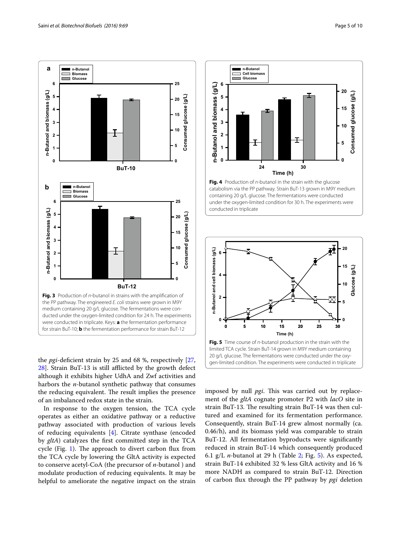

<span id="page-4-0"></span>the *pgi*-deficient strain by 25 and 68 %, respectively [\[27](#page-9-6), [28\]](#page-9-7). Strain BuT-13 is still afflicted by the growth defect although it exhibits higher UdhA and Zwf activities and harbors the *n-*butanol synthetic pathway that consumes the reducing equivalent. The result implies the presence of an imbalanced redox state in the strain.

In response to the oxygen tension, the TCA cycle operates as either an oxidative pathway or a reductive pathway associated with production of various levels of reducing equivalents [[4\]](#page-8-3). Citrate synthase (encoded by *gltA*) catalyzes the first committed step in the TCA cycle (Fig. [1\)](#page-1-0). The approach to divert carbon flux from the TCA cycle by lowering the GltA activity is expected to conserve acetyl-CoA (the precursor of *n-*butanol ) and modulate production of reducing equivalents. It may be helpful to ameliorate the negative impact on the strain



<span id="page-4-1"></span>containing 20 g/L glucose. The fermentations were conducted under the oxygen-limited condition for 30 h. The experiments were conducted in triplicate



<span id="page-4-2"></span>imposed by null *pgi*. This was carried out by replacement of the *gltA* cognate promoter P2 with *lacO* site in strain BuT-13. The resulting strain BuT-14 was then cultured and examined for its fermentation performance. Consequently, strain BuT-14 grew almost normally (ca. 0.46/h), and its biomass yield was comparable to strain BuT-12. All fermentation byproducts were significantly reduced in strain BuT-14 which consequently produced 6.1 g/L *n-*butanol at 29 h (Table [2;](#page-3-1) Fig. [5\)](#page-4-2). As expected, strain BuT-14 exhibited 32 % less GltA activity and 16 % more NADH as compared to strain BuT-12. Direction of carbon flux through the PP pathway by *pgi* deletion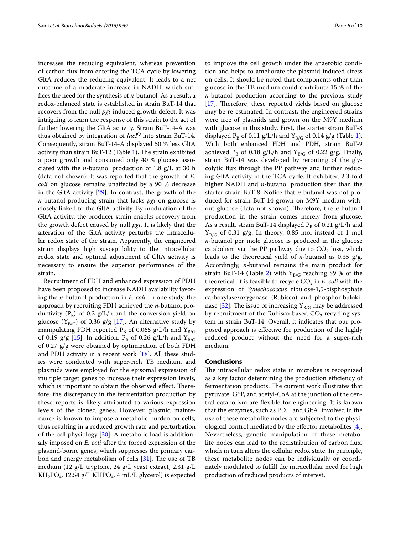increases the reducing equivalent, whereas prevention of carbon flux from entering the TCA cycle by lowering GltA reduces the reducing equivalent. It leads to a net outcome of a moderate increase in NADH, which suffices the need for the synthesis of *n-*butanol. As a result, a redox-balanced state is established in strain BuT-14 that recovers from the null *pgi*-induced growth defect. It was intriguing to learn the response of this strain to the act of further lowering the GltA activity. Strain BuT-14-A was thus obtained by integration of *lacI*<sup>Q</sup> into strain BuT-14. Consequently, strain BuT-14-A displayed 50 % less GltA activity than strain BuT-12 (Table [1](#page-3-0)). The strain exhibited a poor growth and consumed only 40 % glucose associated with the *n-*butanol production of 1.8 g/L at 30 h (data not shown). It was reported that the growth of *E. coli* on glucose remains unaffected by a 90 % decrease in the GltA activity [\[29](#page-9-8)]. In contrast, the growth of the *n-*butanol-producing strain that lacks *pgi* on glucose is closely linked to the GltA activity. By modulation of the GltA activity, the producer strain enables recovery from the growth defect caused by null *pgi*. It is likely that the alteration of the GltA activity perturbs the intracellular redox state of the strain. Apparently, the engineered strain displays high susceptibility to the intracellular redox state and optimal adjustment of GltA activity is necessary to ensure the superior performance of the strain.

Recruitment of FDH and enhanced expression of PDH have been proposed to increase NADH availability favoring the *n-*butanol production in *E. coli*. In one study, the approach by recruiting FDH achieved the *n-*butanol productivity ( $P_B$ ) of 0.2  $g/L/h$  and the conversion yield on glucose ( $Y_{B/G}$ ) of 0.36 g/g [\[17](#page-8-14)]. An alternative study by manipulating PDH reported  $P_B$  of 0.065 g/L/h and  $Y_{B/G}$ of 0.19  $g/g$  [\[15](#page-8-12)]. In addition,  $P_B$  of 0.26  $g/L/h$  and  $Y_{B/G}$ of 0.27 g/g were obtained by optimization of both FDH and PDH activity in a recent work [[18\]](#page-8-15). All these studies were conducted with super-rich TB medium, and plasmids were employed for the episomal expression of multiple target genes to increase their expression levels, which is important to obtain the observed effect. Therefore, the discrepancy in the fermentation production by these reports is likely attributed to various expression levels of the cloned genes. However, plasmid maintenance is known to impose a metabolic burden on cells, thus resulting in a reduced growth rate and perturbation of the cell physiology [[30\]](#page-9-9). A metabolic load is additionally imposed on *E. coli* after the forced expression of the plasmid-borne genes, which suppresses the primary carbon and energy metabolism of cells [\[31](#page-9-10)]. The use of TB medium (12 g/L tryptone, 24 g/L yeast extract, 2.31 g/L  $KH_2PO_4$ , 12.54 g/L KHPO<sub>4</sub>, 4 mL/L glycerol) is expected

to improve the cell growth under the anaerobic condition and helps to ameliorate the plasmid-induced stress on cells. It should be noted that components other than glucose in the TB medium could contribute 15 % of the *n-*butanol production according to the previous study [[17\]](#page-8-14). Therefore, these reported yields based on glucose may be re-estimated. In contrast, the engineered strains were free of plasmids and grown on the M9Y medium with glucose in this study. First, the starter strain BuT-8 displayed  $P_B$  of 0.[1](#page-3-0)1 g/L/h and  $Y_{B/G}$  of 0.14 g/g (Table 1). With both enhanced FDH and PDH, strain BuT-9 achieved P<sub>B</sub> of 0.18  $g/L/h$  and Y<sub>B/G</sub> of 0.22  $g/g$ . Finally, strain BuT-14 was developed by rerouting of the glycolytic flux through the PP pathway and further reducing GltA activity in the TCA cycle. It exhibited 2.3-fold higher NADH and *n-*butanol production titer than the starter strain BuT-8. Notice that *n-*butanol was not produced for strain BuT-14 grown on M9Y medium without glucose (data not shown). Therefore, the *n-*butanol production in the strain comes merely from glucose. As a result, strain BuT-14 displayed  $P_B$  of 0.21 g/L/h and  $Y_{B/G}$  of 0.31 g/g. In theory, 0.85 mol instead of 1 mol *n-*butanol per mole glucose is produced in the glucose catabolism via the PP pathway due to  $CO<sub>2</sub>$  loss, which leads to the theoretical yield of *n-*butanol as 0.35 g/g. Accordingly, *n-*butanol remains the main product for strain BuT-14 (Table [2\)](#page-3-1) with  $Y_{B/G}$  reaching 89 % of the theoretical. It is feasible to recycle  $CO<sub>2</sub>$  in *E. coli* with the expression of *Synechococcus* ribulose-1,5-bisphosphate carboxylase/oxygenase (Rubisco) and phosphoribuloki-nase [\[32](#page-9-11)]. The issue of increasing  $Y_{B/G}$  may be addressed by recruitment of the Rubisco-based  $CO<sub>2</sub>$  recycling system in strain BuT-14. Overall, it indicates that our proposed approach is effective for production of the highly reduced product without the need for a super-rich medium.

#### **Conclusions**

The intracellular redox state in microbes is recognized as a key factor determining the production efficiency of fermentation products. The current work illustrates that pyruvate, G6P, and acetyl-CoA at the junction of the central catabolism are flexible for engineering. It is known that the enzymes, such as PDH and GltA, involved in the use of these metabolite nodes are subjected to the physiological control mediated by the effector metabolites [\[4](#page-8-3)]. Nevertheless, genetic manipulation of these metabolite nodes can lead to the redistribution of carbon flux, which in turn alters the cellular redox state. In principle, these metabolite nodes can be individually or coordinately modulated to fulfill the intracellular need for high production of reduced products of interest.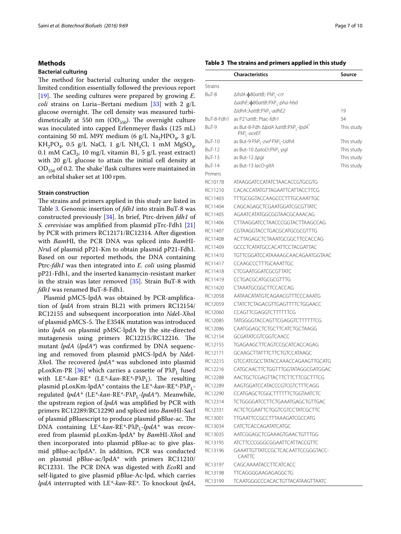#### **Methods**

## **Bacterial culturing**

The method for bacterial culturing under the oxygenlimited condition essentially followed the previous report [[19\]](#page-8-16). The seeding cultures were prepared by growing *E. coli* strains on Luria–Bertani medium [[33\]](#page-9-12) with 2 g/L glucose overnight. The cell density was measured turbidimetrically at 550 nm ( $OD_{550}$ ). The overnight culture was inoculated into capped Erlenmeyer flasks (125 mL) containing 50 mL M9Y medium (6 g/L Na<sub>2</sub>HPO<sub>4</sub>, 3 g/L  $KH_2PO_4$ , 0.5 g/L NaCl, 1 g/L NH<sub>4</sub>Cl, 1 mM MgSO<sub>4</sub>, 0.1 mM CaCl<sub>2</sub>, 10 mg/L vitamin B1, 5 g/L yeast extract) with 20  $g/L$  glucose to attain the initial cell density at  $OD_{550}$  of 0.2. The shake`flask cultures were maintained in an orbital shaker set at 100 rpm.

## **Strain construction**

The strains and primers applied in this study are listed in Table [3](#page-6-0). Genomic insertion of *fdh1* into strain BuT-8 was constructed previously [\[34\]](#page-9-13). In brief, Ptrc-driven *fdh1* of *S. cerevisiae* was amplified from plasmid pTrc-Fdh1 [[21](#page-9-0)] by PCR with primers RC12171/RC12314. After digestion with *Bam*HI, the PCR DNA was spliced into *Bam*HI-*Nru*I of plasmid pP21-Km to obtain plasmid pP21-Fdh1. Based on our reported methods, the DNA containing Ptrc-*fdh1* was then integrated into *E. coli* using plasmid pP21-Fdh1, and the inserted kanamycin-resistant marker in the strain was later removed [\[35](#page-9-14)]. Strain BuT-8 with *fdh1* was renamed BuT-8-Fdh1.

Plasmid pMCS-lpdA was obtained by PCR-amplification of *lpdA* from strain BL21 with primers RC12154/ RC12155 and subsequent incorporation into *Nde*I-*Xho*I of plasmid pMCS-5. The E354K mutation was introduced into *lpdA* on plasmid pMSC-lpdA by the site-directed mutagenesis using primers RC12215/RC12216. The mutant *lpdA* (*lpdA\**) was confirmed by DNA sequencing and removed from plasmid pMCS-lpdA by *Nde*I-*Xho*I. The recovered *lpdA\** was subcloned into plasmid pLoxKm-PR [ $36$ ] which carries a cassette of  $P\lambda P_L$  fused with LE<sup>\*</sup>-*kan*-RE<sup>\*</sup> (LE<sup>\*</sup>-*kan*-RE<sup>\*</sup>-PλP<sub>L</sub>). The resulting plasmid pLoxKm-lpdA\* contains the LE*\**-*kan*-RE*\**-PλPLregulated *lpdA*<sup>\*</sup> (LE<sup>\*</sup>-*kan*-RE<sup>\*</sup>-PλP<sub>1</sub>-lpdA<sup>\*</sup>). Meanwhile, the upstream region of *lpdA* was amplified by PCR with primers RC12289/RC12290 and spliced into *Bam*HI-*Sac*I of plasmid pBluescript to produce plasmid pBlue-ac. The DNA containing LE<sup>\*</sup>-kan-RE<sup>\*</sup>-PλP<sub>I</sub>-lpdA<sup>\*</sup> was recovered from plasmid pLoxKm-lpdA\* by *Bam*HI-*Xho*I and then incorporated into plasmid pBlue-ac to give plasmid pBlue-ac/lpdA\*. In addition, PCR was conducted on plasmid pBlue-ac/lpdA\* with primers RC11210/ RC12331. The PCR DNA was digested with *Eco*RI and self-ligated to give plasmid pBlue-Ac-lpd, which carries *lpdA* interrupted with LE*\**-*kan*-RE*\**. To knockout *lpdA*,

#### <span id="page-6-0"></span>**Table 3 The strains and primers applied in this study**

|               | <b>Characteristics</b>                                                       | Source     |
|---------------|------------------------------------------------------------------------------|------------|
| Strains       |                                                                              |            |
| BuT-8         | ΔfrdA φ80attΒ:: PλP, -crt                                                    |            |
|               | ΔadhE:: φ80attB:: PλP <sub>1</sub> -pha-hbd                                  |            |
|               | ΔIdhA::λattB::PλP <sub>1</sub> -adhE2                                        | 19         |
| BuT-8-Fdh1    | as P21 attB:: Ptac-fdh1                                                      | 34         |
| BuT-9         | as But-8-Fdh ∆lpdA \attB::P\P <sub>1</sub> -lpdA <sup>*</sup><br>PXP, -aceEF | This study |
| <b>BuT-10</b> | as But-9 PAP <sub>1</sub> -zwf PAP <sub>1</sub> -UdhA                        | This study |
| <b>BuT-12</b> | as But-10 ∆atoD::PNP <sub>1</sub> -pgl                                       | This study |
| <b>BuT-13</b> | as But-12 ∆ <i>pgi</i>                                                       | This study |
| <b>BuT-14</b> | as But-13 lacO-gltA                                                          | This study |
| Primers       |                                                                              |            |
| RC10178       | ATAAGGATCCATATCTAACACCGTGCGTG                                                |            |
| RC11210       | CACACCATATGTTAGAATTCATTACCTTCG                                               |            |
| RC11403       | <b>TTTGCGGTACCAAGCCCTTTGCAAATTGC</b>                                         |            |
| RC11404       | CAGCAGAGCTCGAATGGATCGCGTTATC                                                 |            |
| RC11405       | AGAATCATATGGCGGTAACGCAAACAG                                                  |            |
| RC11406       | CTTAAGGATCCTAACCCGGTACTTAAGCCAG                                              |            |
| RC11407       | CGTAAGGTACCTGACGCATGCGCGTTTG                                                 |            |
| RC11408       | ACTTAGAGCTCTAAATGCGGCTTCCACCAG                                               |            |
| RC11409       | GCCCTCATATGCCACATTCCTACGATTAC                                                |            |
| RC11410       | TGTTCGGATCCATAAAAGCAACAGAATGGTAAC                                            |            |
| RC11417       | CCAAGCCCTTTGCAAATTGC                                                         |            |
| RC11418       | <b>CTCGAATGGATCGCGTTATC</b>                                                  |            |
| RC11419       | CCTGACGCATGCGCGTTTG                                                          |            |
| RC11420       | CTAAATGCGGCTTCCACCAG                                                         |            |
| RC12058       | AATAACATATGTCAGAACGTTTCCCAAATG                                               |            |
| RC12059       | CTATCTCTAGACGTTGAGTTTTCTGGAACC                                               |            |
| RC12060       | CCAGTTCGAGGTCTTTTTTCG                                                        |            |
| RC12085       | TATGGGGTACCAGTTCGAGGTCTTTTTTCG                                               |            |
| RC12086       | CAATGGAGCTCTGCTTCATCTGCTAAGG                                                 |            |
| RC12154       | <b>GCGATATCGTCGGTCAACC</b>                                                   |            |
| RC12155       | TGAGAAGCTTCAGTCCGCATCACCAGAG                                                 |            |
| RC12171       | GCAAGCTTATTTCTTCTGTCCATAAGC                                                  |            |
| RC12215       | GTCCATCGCCTATACCAAACCAGAAGTTGCATG                                            |            |
| RC12216       | CATGCAACTTCTGGTTTGGTATAGGCGATGGAC                                            |            |
| RC12288       | AACTGCTCGAGTTACTTCTTCTTCGCTTTCG                                              |            |
| RC12289       | AAGTGGATCCATACCCGTCGTCTTTCAGG                                                |            |
| RC12290       | CCATGAGCTCGGCTTTTTTCTGGTAATCTC                                               |            |
| RC12314       | <b>TCTGGGGATCCTTCTGAAATGAGCTGTTGAC</b>                                       |            |
| RC12331       | <b>ACTCTCGAATTCTGGTCGTCCTATCGCTTC</b>                                        |            |
| RC13001       | <b>TTGAATTCCGCCTTTAAAGATCGCCATG</b>                                          |            |
| RC13034       | CATCTCACCAGATATCATGC                                                         |            |
| RC13035       | AATCGGAGCTCGAAAGTGAACTGTTTGG                                                 |            |
| RC13195       | <b>ATCTTCCCGGGCGGAATTCATTACCGTTC</b>                                         |            |
| RC13196       | GAAATTGTTATCCGCTCACAATTCCGGGTACC-<br><b>CAATTC</b>                           |            |
| RC13197       | CAGCAAAATACCTTCATCACC                                                        |            |
| RC13198       | TTCAGGGGAAGAGAGGCTG                                                          |            |
| RC13199       | <b>TCAATGGGCCCACACTGTTACATAAGTTAATC</b>                                      |            |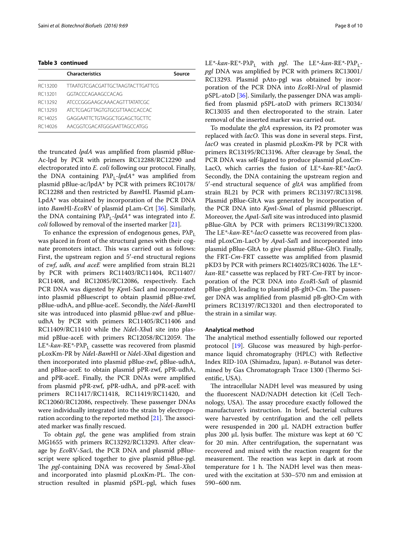### **Table 3 continued**

|         | <b>Characteristics</b>                  | Source |
|---------|-----------------------------------------|--------|
| RC13200 | <b>TTAATGTCGACGATTGCTAAGTACTTGATTCG</b> |        |
| RC13201 | GGTACCCAGAAGCCACAG                      |        |
| RC13292 | ATCCCGGGAAGCAAACAGTTTATATCGC            |        |
| RC13293 | ATCTCGAGTTAGTGTGCGTTAACCACCAC           |        |
| RC14025 | GAGGAATTCTGTAGGCTGGAGCTGCTTC            |        |
| RC14026 | AACGGTCGACATGGGAATTAGCCATGG             |        |

the truncated *lpdA* was amplified from plasmid pBlue-Ac-lpd by PCR with primers RC12288/RC12290 and electroporated into *E. coli* following our protocol. Finally, the DNA containing PλP<sub>L</sub>-lpdA<sup>\*</sup> was amplified from plasmid pBlue-ac/lpdA\* by PCR with primers RC10178/ RC12288 and then restricted by *Bam*HI. Plasmid pLam-LpdA\* was obtained by incorporation of the PCR DNA into *Bam*HI-*Eco*RV of plasmid pLam-Crt [\[36\]](#page-9-15). Similarly, the DNA containing  $P\lambda P_1$ -*lpdA*<sup>\*</sup> was integrated into *E*. *coli* followed by removal of the inserted marker [\[21](#page-9-0)].

To enhance the expression of endogenous genes,  $P\lambda P_{\perp}$ was placed in front of the structural genes with their cognate promoters intact. This was carried out as follows: First, the upstream region and 5′-end structural regions of *zwf*, *udh, and aceE* were amplified from strain BL21 by PCR with primers RC11403/RC11404, RC11407/ RC11408, and RC12085/RC12086, respectively. Each PCR DNA was digested by *Kpn*I-*Sac*I and incorporated into plasmid pBluescript to obtain plasmid pBlue-zwf, pBlue-udhA, and pBlue-aceE. Secondly, the *Nde*I-*Bam*HI site was introduced into plasmid pBlue-zwf and pBlueudhA by PCR with primers RC11405/RC11406 and RC11409/RC11410 while the *Nde*I-*Xba*I site into plasmid pBlue-aceE with primers RC12058/RC12059. The LE<sup>\*</sup>-*kan*-RE<sup>\*</sup>-PλP<sub>L</sub> cassette was recovered from plasmid pLoxKm-PR by *Nde*I-*Bam*HI or *Nde*I-*Xba*I digestion and then incorporated into plasmid pBlue-zwf, pBlue-udhA, and pBlue-aceE to obtain plasmid pPR-zwf, pPR-udhA, and pPR-aceE. Finally, the PCR DNAs were amplified from plasmid pPR-zwf, pPR-udhA, and pPR-aceE with primers RC11417/RC11418, RC11419/RC11420, and RC12060/RC12086, respectively. These passenger DNAs were individually integrated into the strain by electroporation according to the reported method  $[21]$ . The associated marker was finally rescued.

To obtain *pgl*, the gene was amplified from strain MG1655 with primers RC13292/RC13293. After cleavage by *Eco*RV-*Sac*I, the PCR DNA and plasmid pBluescript were spliced together to give plasmid pBlue-pgl. The *pgl*-containing DNA was recovered by *Sma*I-*Xho*I and incorporated into plasmid pLoxKm-PL. The construction resulted in plasmid pSPL-pgl, which fuses LE*\**-*kan*-RE*\**-PλPL with *pgl*. The LE*\**-*kan*-RE*\**-PλPL*pgl* DNA was amplified by PCR with primers RC13001/ RC13293. Plasmid pAto-pgl was obtained by incorporation of the PCR DNA into *Eco*RI-*Nru*I of plasmid pSPL-atoD [[36\]](#page-9-15). Similarly, the passenger DNA was amplified from plasmid pSPL-atoD with primers RC13034/ RC13035 and then electroporated to the strain. Later removal of the inserted marker was carried out.

To modulate the *gltA* expression, its P2 promoter was replaced with *lacO*. This was done in several steps. First, *lacO* was created in plasmid pLoxKm-PR by PCR with primers RC13195/RC13196. After cleavage by *Sma*I, the PCR DNA was self-ligated to produce plasmid pLoxCm-LacO, which carries the fusion of LE*\**-*kan*-RE*\**-*lacO*. Secondly, the DNA containing the upstream region and 5′-end structural sequence of *gltA* was amplified from strain BL21 by PCR with primers RC13197/RC13198. Plasmid pBlue-GltA was generated by incorporation of the PCR DNA into *Kpn*I-*Sma*I of plasmid pBluescript. Moreover, the *Apa*I-*Sal*I site was introduced into plasmid pBlue-GltA by PCR with primers RC13199/RC13200. The LE*\**-*kan*-RE*\**-*lacO* cassette was recovered from plasmid pLoxCm-LacO by *Apa*I-*Sal*I and incorporated into plasmid pBlue-GltA to give plasmid pBlue-GltO. Finally, the FRT-*Cm*-FRT cassette was amplified from plasmid pKD3 by PCR with primers RC14025/RC14026. The LE*\* kan*-RE*\** cassette was replaced by FRT-*Cm*-FRT by incorporation of the PCR DNA into *EcoR*I-*Sal*I of plasmid pBlue-gltO, leading to plasmid pB-gltO-Cm. The passenger DNA was amplified from plasmid pB-gltO-Cm with primers RC13197/RC13201 and then electroporated to the strain in a similar way.

#### **Analytical method**

The analytical method essentially followed our reported protocol [[19\]](#page-8-16). Glucose was measured by high-performance liquid chromatography (HPLC) with Reflective Index RID-10A (Shimadzu, Japan). *n-*Butanol was determined by Gas Chromatograph Trace 1300 (Thermo Scientific, USA).

The intracellular NADH level was measured by using the fluorescent NAD/NADH detection kit (Cell Technology, USA). The assay procedure exactly followed the manufacturer's instruction. In brief, bacterial cultures were harvested by centrifugation and the cell pellets were resuspended in 200 µL NADH extraction buffer plus 200 µL lysis buffer. The mixture was kept at 60 °C for 20 min. After centrifugation, the supernatant was recovered and mixed with the reaction reagent for the measurement. The reaction was kept in dark at room temperature for 1 h. The NADH level was then measured with the excitation at 530–570 nm and emission at 590–600 nm.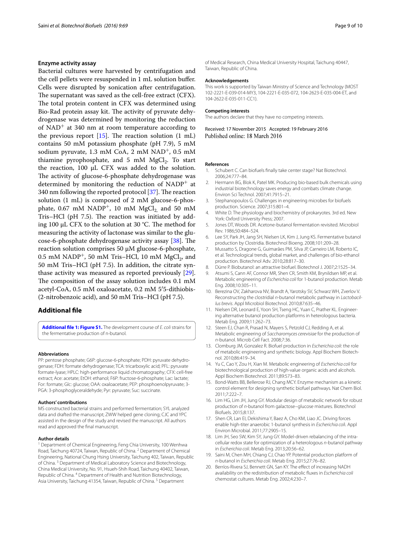#### **Enzyme activity assay**

Bacterial cultures were harvested by centrifugation and the cell pellets were resuspended in 1 mL solution buffer. Cells were disrupted by sonication after centrifugation. The supernatant was saved as the cell-free extract (CFX). The total protein content in CFX was determined using Bio-Rad protein assay kit. The activity of pyruvate dehydrogenase was determined by monitoring the reduction of NAD<sup>+</sup> at 340 nm at room temperature according to the previous report  $[15]$  $[15]$ . The reaction solution  $(1 \text{ mL})$ contains 50 mM potassium phosphate (pH 7.9), 5 mM sodium pyruvate, 1.3 mM CoA, 2 mM  $NAD^{+}$ , 0.5 mM thiamine pyrophosphate, and  $5$  mM MgCl<sub>2</sub>. To start the reaction,  $100 \mu L$  CFX was added to the solution. The activity of glucose-6-phosphate dehydrogenase was determined by monitoring the reduction of  $NADP<sup>+</sup>$  at 340 nm following the reported protocol [\[37\]](#page-9-16). The reaction solution (1 mL) is composed of 2 mM glucose-6-phosphate, 0.67 mM NADP<sup>+</sup>, 10 mM MgCl<sub>2</sub> and 50 mM Tris–HCl (pH 7.5). The reaction was initiated by adding 100 µL CFX to the solution at 30 °C. The method for measuring the activity of lactonase was similar to the glucose-6-phosphate dehydrogenase activity assay [[38\]](#page-9-17). The reaction solution comprises 50 μM glucose-6-phosphate, 0.5 mM NADP<sup>+</sup>, 50 mM Tris–HCl, 10 mM MgCl<sub>2</sub>, and 50 mM Tris–HCl (pH 7.5). In addition, the citrate synthase activity was measured as reported previously [\[29](#page-9-8)]. The composition of the assay solution includes 0.1 mM acetyl-CoA, 0.5 mM oxaloacetate, 0.2 mM 5′5-dithiobis- (2-nitrobenzoic acid), and 50 mM Tris–HCl (pH 7.5).

# **Additional file**

<span id="page-8-18"></span>**[Additional file 1: Figure S1.](http://dx.doi.org/10.1186/s13068-016-0467-4)** The development course of *E. coli* strains for the fermentative production of n-butanol.

#### **Abbreviations**

PP: pentose phosphate; G6P: glucose-6-phosphate; PDH: pyruvate dehydrogenase; FDH: formate dehydrogenase; TCA: tricarboxylic acid; PFL: pyruvate formate-lyase; HPLC: high-performance liquid chromatography; CFX: cell-free extract; Ace: acetate; EtOH: ethanol; F6P: fructose-6-phosphate; Lac: lactate; For: formate; Glc: glucose; OAA: oxaloacetate; PEP: phosphoenolpyruvate; 3-PGA: 3-phosphoglyceraldehyde; Pyr: pyruvate; Suc: succinate.

#### **Authors' contributions**

MS constructed bacterial strains and performed fermentation; SYL analyzed data and drafted the manuscript; ZWW helped gene cloning; CJC and YPC assisted in the design of the study and revised the manuscript. All authors read and approved the final manuscript.

#### **Author details**

<sup>1</sup> Department of Chemical Engineering, Feng Chia University, 100 Wenhwa Road, Taichung 40724, Taiwan, Republic of China. <sup>2</sup> Department of Chemical Engineering, National Chung Hsing University, Taichung 402, Taiwan, Republic of China. 3 Department of Medical Laboratory Science and Biotechnology, China Medical University, No. 91, Hsueh‑Shih Road, Taichung 40402, Taiwan, Republic of China. <sup>4</sup> Department of Health and Nutrition Biotechnology, Asia University, Taichung 41354, Taiwan, Republic of China.<sup>5</sup> Department

of Medical Research, China Medical University Hospital, Taichung 40447, Taiwan, Republic of China.

#### **Acknowledgements**

This work is supported by Taiwan Ministry of Science and Technology (MOST 102-2221-E-039-014-MY3, 104-2221-E-035-072, 104-2623-E-035-004-ET, and 104-2622-E-035-011-CC1).

#### **Competing interests**

The authors declare that they have no competing interests.

Received: 17 November 2015 Accepted: 19 February 2016 Published online: 18 March 2016

#### **References**

- <span id="page-8-0"></span>Schubert C. Can biofuels finally take center stage? Nat Biotechnol. 2006;24:777–84.
- <span id="page-8-1"></span>2. Hermann BG, Blok K, Patel MK. Producing bio-based bulk chemicals using industrial biotechnology saves energy and combats climate change. Environ Sci Technol. 2007;41:7915–21.
- <span id="page-8-2"></span>3. Stephanopoulos G. Challenges in engineering microbes for biofuels production. Science. 2007;315:801–4.
- <span id="page-8-3"></span>4. White D. The physiology and biochemistry of prokaryotes. 3rd ed. New York: Oxford University Press; 2007.
- <span id="page-8-4"></span>5. Jones DT, Woods DR. Acetone-butanol fermentation revisited. Microbiol Rev. 1986;50:484–524.
- <span id="page-8-5"></span>6. Lee SY, Park JH, Jang SH, Nielsen LK, Kim J, Jung KS. Fermentative butanol production by Clostridia. Biotechnol Bioeng. 2008;101:209–28.
- <span id="page-8-6"></span>7. Mussatto S, Dragone G, Guimarães PM, Silva JP, Carneiro LM, Roberto IC, et al. Technological trends, global market, and challenges of bio-ethanol production. Biotechnol Adv. 2010;28:817–30.
- <span id="page-8-7"></span>8. Dürre P. Biobutanol: an attractive biofuel. Biotechnol J. 2007;2:1525–34.
- <span id="page-8-8"></span>9. Atsumi S, Cann AF, Connor MR, Shen CR, Smith KM, Brynildsen MP, et al. Metabolic engineering of *Escherichia coli* for 1-butanol production. Metab Eng. 2008;10:305–11.
- 10. Berezina OV, Zakharova NV, Brandt A, Yarotsky SV, Schwarz WH, Zverlov V. Reconstructing the clostridial *n-*butanol metabolic pathway in *Lactobacillus brevis*. Appl Microbiol Biotechnol. 2010;87:635–46.
- 11. Nielsen DR, Leonard E, Yoon SH, Tseng HC, Yuan C, Prather KL. Engineering alternative butanol production platforms in heterologous bacteria. Metab Eng. 2009;11:262–73.
- <span id="page-8-9"></span>12. Steen EJ, Chan R, Prasad N, Mayers S, Petzold CJ, Redding A, et al. Metabolic engineering of *Saccharomyces cerevisiae* for the production of *n-*butanol. Microb Cell Fact. 2008;7:36.
- <span id="page-8-10"></span>13. Clomburg JM, Gonzalez R. Biofuel production in *Escherichia coli*: the role of metabolic engineering and synthetic biology. Appl Biochem Biotechnol. 2010;86:419–34.
- <span id="page-8-11"></span>14. Yu C, Cao Y, Zou H, Xian M. Metabolic engineering of *Escherichia coli* for biotechnological production of high-value organic acids and alcohols. Appl Biochem Biotechnol. 2011;89:573–83.
- <span id="page-8-12"></span>15. Bond-Watts BB, Bellerose RJ, Chang MCY. Enzyme mechanism as a kinetic control element for designing synthetic biofuel pathways. Nat Chem Biol. 2011;7:222–7.
- <span id="page-8-13"></span>16. Lim HG, Lim JH, Jung GY. Modular design of metabolic network for robust production of *n-*butanol from galactose–glucose mixtures. Biotechnol Biofuels. 2015;8:137.
- <span id="page-8-14"></span>17. Shen CR, Lan EI, Dekishima Y, Baez A, Cho KM, Liao JC. Driving forces enable high-titer anaerobic 1-butanol synthesis in *Escherichia col*i. Appl Environ Microbial. 2011;77:2905–15.
- <span id="page-8-15"></span>18. Lim JH, Seo SW, Kim SY, Jung GY. Model-driven rebalancing of the intracellular redox state for optimization of a heterologous *n-*butanol pathway in *Escherichia coli*. Metab Eng. 2013;20:56–62.
- <span id="page-8-16"></span>19. Saini M, Chen MH, Chiang CJ, Chao YP. Potential production platform of *n-*butanol in *Escherichia coli*. Metab Eng. 2015;27:76–82.
- <span id="page-8-17"></span>20. Berríos-Rivera SJ, Bennett GN, San KY. The effect of increasing NADH availability on the redistribution of metabolic fluxes in *Escherichia coli* chemostat cultures. Metab Eng. 2002;4:230–7.